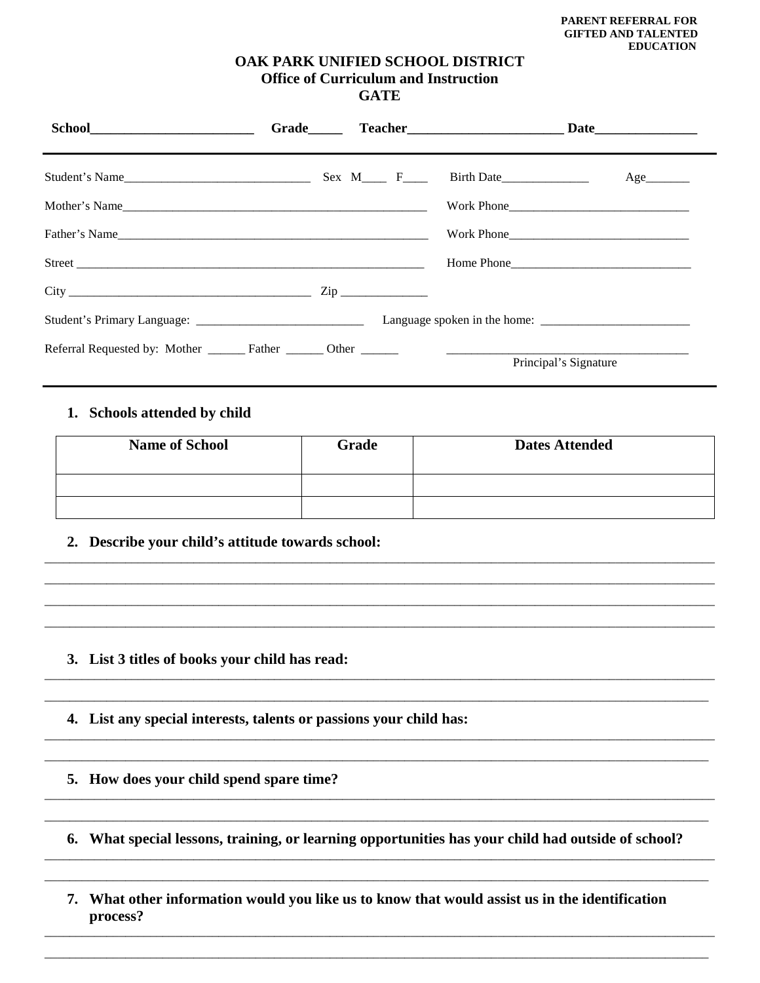### OAK PARK UNIFIED SCHOOL DISTRICT **Office of Curriculum and Instruction GATE**

|               |  |                       | Age |  |
|---------------|--|-----------------------|-----|--|
| Mother's Name |  |                       |     |  |
| Father's Name |  |                       |     |  |
|               |  |                       |     |  |
| $City$ $Zip$  |  |                       |     |  |
|               |  |                       |     |  |
|               |  | Principal's Signature |     |  |

## 1. Schools attended by child

| <b>Name of School</b> | Grade | <b>Dates Attended</b> |
|-----------------------|-------|-----------------------|
|                       |       |                       |
|                       |       |                       |

2. Describe your child's attitude towards school:

- 3. List 3 titles of books your child has read:
- 4. List any special interests, talents or passions your child has:
- 5. How does your child spend spare time?
- 6. What special lessons, training, or learning opportunities has your child had outside of school?
- 7. What other information would you like us to know that would assist us in the identification process?